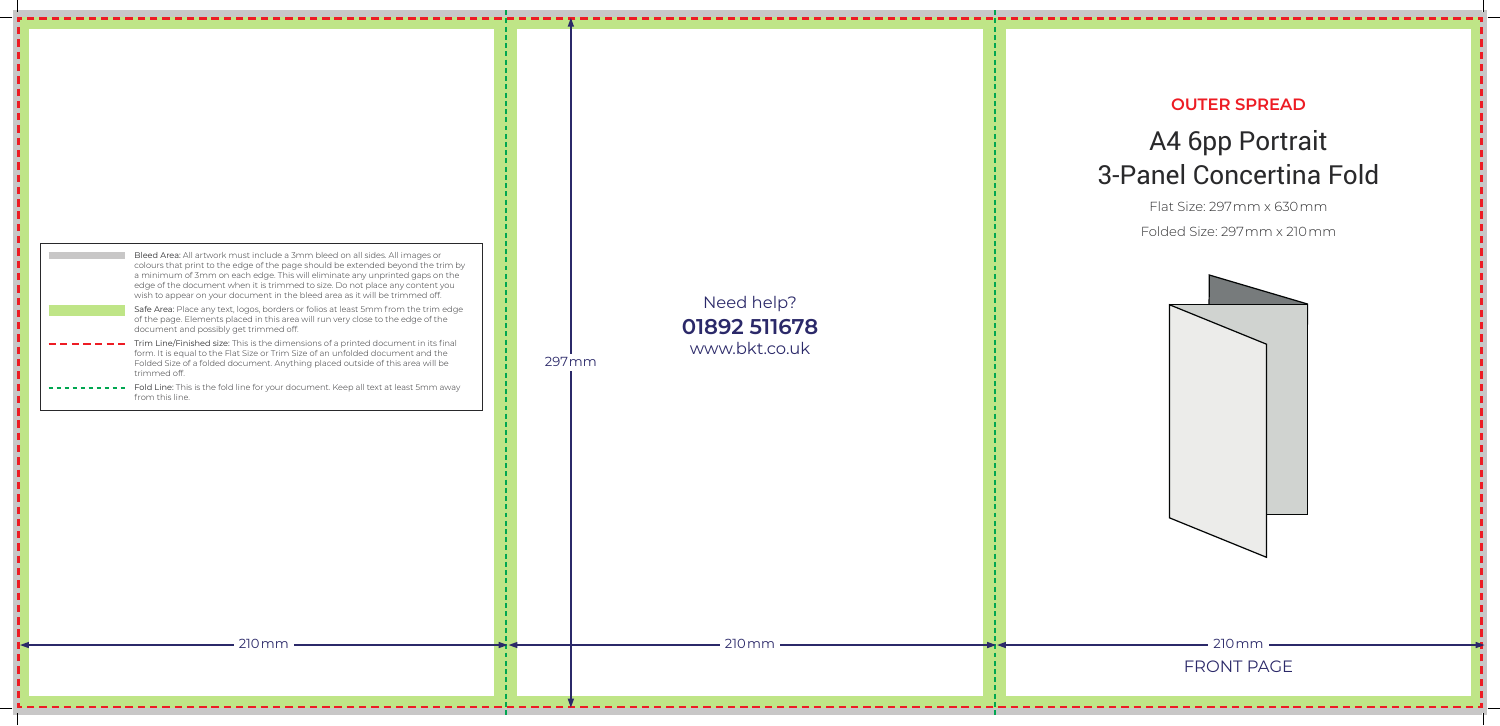